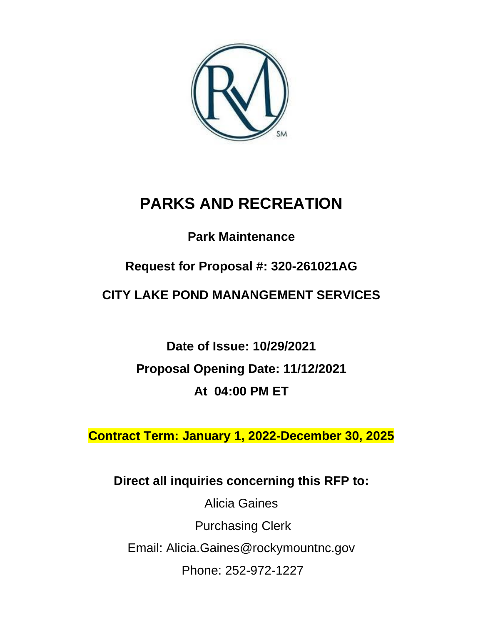

# **PARKS AND RECREATION**

# **Park Maintenance**

# **Request for Proposal #: 320-261021AG**

# **CITY LAKE POND MANANGEMENT SERVICES**

**Date of Issue: 10/29/2021 Proposal Opening Date: 11/12/2021 At 04:00 PM ET**

**Contract Term: January 1, 2022-December 30, 2025**

# **Direct all inquiries concerning this RFP to:**

Alicia Gaines Purchasing Clerk Email: Alicia.Gaines@rockymountnc.gov Phone: 252-972-1227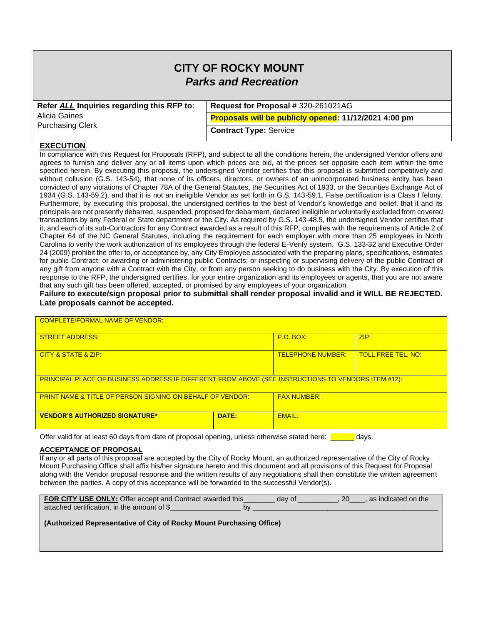# **CITY OF ROCKY MOUNT** *Parks and Recreation*

| Refer ALL Inquiries regarding this RFP to: | Request for Proposal # 320-261021AG                   |  |
|--------------------------------------------|-------------------------------------------------------|--|
| Alicia Gaines                              | Proposals will be publicly opened: 11/12/2021 4:00 pm |  |
| <b>Purchasing Clerk</b>                    | <b>Contract Type: Service</b>                         |  |

#### **EXECUTION**

In compliance with this Request for Proposals (RFP), and subject to all the conditions herein, the undersigned Vendor offers and agrees to furnish and deliver any or all items upon which prices are bid, at the prices set opposite each item within the time specified herein. By executing this proposal, the undersigned Vendor certifies that this proposal is submitted competitively and without collusion (G.S. 143-54), that none of its officers, directors, or owners of an unincorporated business entity has been convicted of any violations of Chapter 78A of the General Statutes, the Securities Act of 1933, or the Securities Exchange Act of 1934 (G.S. 143-59.2), and that it is not an ineligible Vendor as set forth in G.S. 143-59.1. False certification is a Class I felony. Furthermore, by executing this proposal, the undersigned certifies to the best of Vendor's knowledge and belief, that it and its principals are not presently debarred, suspended, proposed for debarment, declared ineligible or voluntarily excluded from covered transactions by any Federal or State department or the City. As required by G.S. 143-48.5, the undersigned Vendor certifies that it, and each of its sub-Contractors for any Contract awarded as a result of this RFP, complies with the requirements of Article 2 of Chapter 64 of the NC General Statutes, including the requirement for each employer with more than 25 employees in North Carolina to verify the work authorization of its employees through the federal E-Verify system. G.S. 133-32 and Executive Order 24 (2009) prohibit the offer to, or acceptance by, any City Employee associated with the preparing plans, specifications, estimates for public Contract; or awarding or administering public Contracts; or inspecting or supervising delivery of the public Contract of any gift from anyone with a Contract with the City, or from any person seeking to do business with the City. By execution of this response to the RFP, the undersigned certifies, for your entire organization and its employees or agents, that you are not aware that any such gift has been offered, accepted, or promised by any employees of your organization.

#### **Failure to execute/sign proposal prior to submittal shall render proposal invalid and it WILL BE REJECTED. Late proposals cannot be accepted.**

| <b>COMPLETE/FORMAL NAME OF VENDOR:</b>                                                              |                                                       |             |      |  |  |  |
|-----------------------------------------------------------------------------------------------------|-------------------------------------------------------|-------------|------|--|--|--|
| <b>STREET ADDRESS:</b>                                                                              |                                                       | $P.O.$ BOX: | ZIP: |  |  |  |
| CITY & STATE & ZIP:                                                                                 | <b>TOLL FREE TEL. NO:</b><br><b>TELEPHONE NUMBER:</b> |             |      |  |  |  |
| PRINCIPAL PLACE OF BUSINESS ADDRESS IF DIFFERENT FROM ABOVE (SEE INSTRUCTIONS TO VENDORS ITEM #12): |                                                       |             |      |  |  |  |
| <b>FAX NUMBER:</b><br><b>PRINT NAME &amp; TITLE OF PERSON SIGNING ON BEHALF OF VENDOR:</b>          |                                                       |             |      |  |  |  |
| <b>VENDOR'S AUTHORIZED SIGNATURE*:</b>                                                              | EMAIL:                                                |             |      |  |  |  |

Offer valid for at least 60 days from date of proposal opening, unless otherwise stated here: **Example 20** days.

#### **ACCEPTANCE OF PROPOSAL**

If any or all parts of this proposal are accepted by the City of Rocky Mount, an authorized representative of the City of Rocky Mount Purchasing Office shall affix his/her signature hereto and this document and all provisions of this Request for Proposal along with the Vendor proposal response and the written results of any negotiations shall then constitute the written agreement between the parties. A copy of this acceptance will be forwarded to the successful Vendor(s).

| <b>FOR CITY USE ONLY:</b> Offer accept and Contract awarded this | dav of | 20 | as indicated on the |
|------------------------------------------------------------------|--------|----|---------------------|
| attached certification, in the amount of \$                      |        |    |                     |

#### **(Authorized Representative of City of Rocky Mount Purchasing Office)**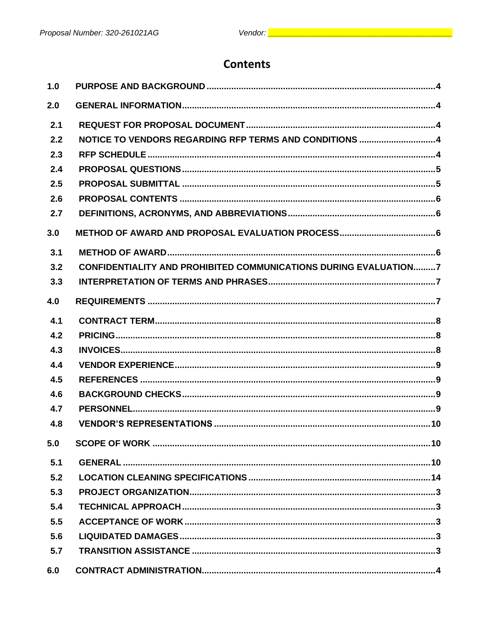# **Contents**

| 1.0 |                                                                         |
|-----|-------------------------------------------------------------------------|
| 2.0 |                                                                         |
| 2.1 |                                                                         |
| 2.2 | NOTICE TO VENDORS REGARDING RFP TERMS AND CONDITIONS 4                  |
| 2.3 |                                                                         |
| 2.4 |                                                                         |
| 2.5 |                                                                         |
| 2.6 |                                                                         |
| 2.7 |                                                                         |
| 3.0 |                                                                         |
| 3.1 |                                                                         |
| 3.2 | <b>CONFIDENTIALITY AND PROHIBITED COMMUNICATIONS DURING EVALUATION7</b> |
| 3.3 |                                                                         |
| 4.0 |                                                                         |
| 4.1 |                                                                         |
| 4.2 |                                                                         |
| 4.3 |                                                                         |
| 4.4 |                                                                         |
| 4.5 |                                                                         |
| 4.6 |                                                                         |
| 4.7 |                                                                         |
| 4.8 |                                                                         |
| 5.0 |                                                                         |
| 5.1 |                                                                         |
| 5.2 |                                                                         |
| 5.3 |                                                                         |
| 5.4 |                                                                         |
| 5.5 |                                                                         |
| 5.6 |                                                                         |
| 5.7 |                                                                         |
| 6.0 |                                                                         |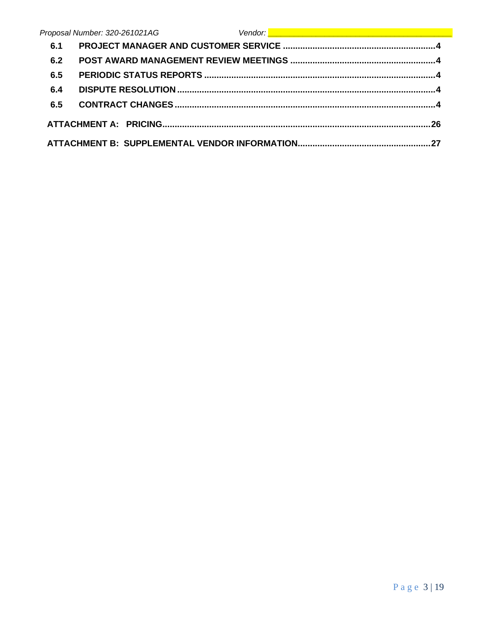|     | Vendor: <u>Desember 2008 (September 2008)</u><br>Proposal Number: 320-261021AG |
|-----|--------------------------------------------------------------------------------|
| 6.1 |                                                                                |
| 6.2 |                                                                                |
| 6.5 |                                                                                |
| 6.4 |                                                                                |
| 6.5 |                                                                                |
|     |                                                                                |
|     |                                                                                |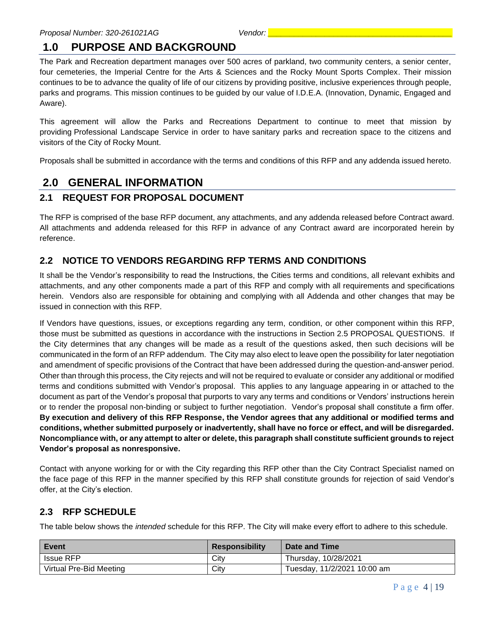# <span id="page-4-0"></span>**1.0 PURPOSE AND BACKGROUND**

The Park and Recreation department manages over 500 acres of parkland, two community centers, a senior center, four cemeteries, the Imperial Centre for the Arts & Sciences and the Rocky Mount Sports Complex. Their mission continues to be to advance the quality of life of our citizens by providing positive, inclusive experiences through people, parks and programs. This mission continues to be guided by our value of I.D.E.A. (Innovation, Dynamic, Engaged and Aware).

This agreement will allow the Parks and Recreations Department to continue to meet that mission by providing Professional Landscape Service in order to have sanitary parks and recreation space to the citizens and visitors of the City of Rocky Mount.

Proposals shall be submitted in accordance with the terms and conditions of this RFP and any addenda issued hereto.

# <span id="page-4-1"></span>**2.0 GENERAL INFORMATION**

### <span id="page-4-2"></span>**2.1 REQUEST FOR PROPOSAL DOCUMENT**

The RFP is comprised of the base RFP document, any attachments, and any addenda released before Contract award. All attachments and addenda released for this RFP in advance of any Contract award are incorporated herein by reference.

# <span id="page-4-3"></span>**2.2 NOTICE TO VENDORS REGARDING RFP TERMS AND CONDITIONS**

It shall be the Vendor's responsibility to read the Instructions, the Cities terms and conditions, all relevant exhibits and attachments, and any other components made a part of this RFP and comply with all requirements and specifications herein. Vendors also are responsible for obtaining and complying with all Addenda and other changes that may be issued in connection with this RFP.

If Vendors have questions, issues, or exceptions regarding any term, condition, or other component within this RFP, those must be submitted as questions in accordance with the instructions in Section 2.5 PROPOSAL QUESTIONS. If the City determines that any changes will be made as a result of the questions asked, then such decisions will be communicated in the form of an RFP addendum. The City may also elect to leave open the possibility for later negotiation and amendment of specific provisions of the Contract that have been addressed during the question-and-answer period. Other than through this process, the City rejects and will not be required to evaluate or consider any additional or modified terms and conditions submitted with Vendor's proposal. This applies to any language appearing in or attached to the document as part of the Vendor's proposal that purports to vary any terms and conditions or Vendors' instructions herein or to render the proposal non-binding or subject to further negotiation. Vendor's proposal shall constitute a firm offer. **By execution and delivery of this RFP Response, the Vendor agrees that any additional or modified terms and conditions, whether submitted purposely or inadvertently, shall have no force or effect, and will be disregarded. Noncompliance with, or any attempt to alter or delete, this paragraph shall constitute sufficient grounds to reject Vendor's proposal as nonresponsive.**

Contact with anyone working for or with the City regarding this RFP other than the City Contract Specialist named on the face page of this RFP in the manner specified by this RFP shall constitute grounds for rejection of said Vendor's offer, at the City's election.

# <span id="page-4-4"></span>**2.3 RFP SCHEDULE**

The table below shows the *intended* schedule for this RFP. The City will make every effort to adhere to this schedule.

| <b>Event</b>            | <b>Responsibility</b> | Date and Time               |
|-------------------------|-----------------------|-----------------------------|
| Issue RFP               | City                  | Thursday, 10/28/2021        |
| Virtual Pre-Bid Meeting | City                  | Tuesday, 11/2/2021 10:00 am |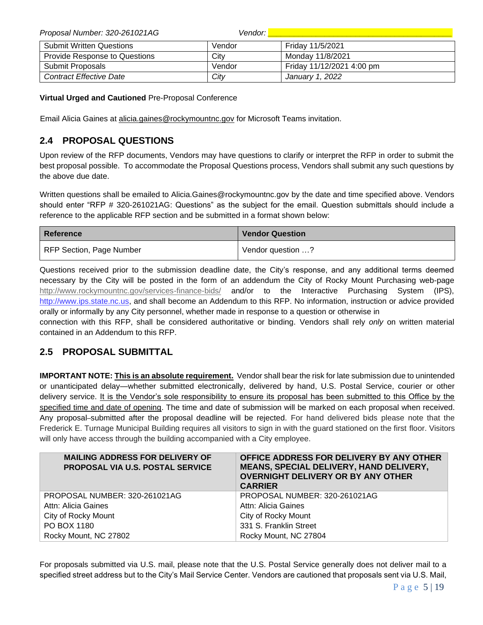| Proposal Number: 320-261021AG        | Vendor: I |                           |
|--------------------------------------|-----------|---------------------------|
| <b>Submit Written Questions</b>      | Vendor    | Friday 11/5/2021          |
| <b>Provide Response to Questions</b> | City      | Monday 11/8/2021          |
| Submit Proposals                     | Vendor    | Friday 11/12/2021 4:00 pm |
| <b>Contract Effective Date</b>       | City      | January 1, 2022           |

**Virtual Urged and Cautioned** Pre-Proposal Conference

Email Alicia Gaines at alicia.gaines@rockymountnc.gov for Microsoft Teams invitation.

# <span id="page-5-0"></span>**2.4 PROPOSAL QUESTIONS**

Upon review of the RFP documents, Vendors may have questions to clarify or interpret the RFP in order to submit the best proposal possible. To accommodate the Proposal Questions process, Vendors shall submit any such questions by the above due date.

Written questions shall be emailed to Alicia.Gaines@rockymountnc.gov by the date and time specified above. Vendors should enter "RFP # 320-261021AG: Questions" as the subject for the email. Question submittals should include a reference to the applicable RFP section and be submitted in a format shown below:

| <b>Reference</b>         | <b>Vendor Question</b> |  |
|--------------------------|------------------------|--|
| RFP Section, Page Number | Vendor question ?      |  |

Questions received prior to the submission deadline date, the City's response, and any additional terms deemed necessary by the City will be posted in the form of an addendum the City of Rocky Mount Purchasing web-page <http://www.rockymountnc.gov/services-finance-bids/> and/or to the Interactive Purchasing System (IPS), [http://www.ips.state.nc.us,](http://www.ips.state.nc.us/) and shall become an Addendum to this RFP. No information, instruction or advice provided orally or informally by any City personnel, whether made in response to a question or otherwise in

connection with this RFP, shall be considered authoritative or binding. Vendors shall rely *only* on written material contained in an Addendum to this RFP.

# <span id="page-5-1"></span>**2.5 PROPOSAL SUBMITTAL**

**IMPORTANT NOTE: This is an absolute requirement.** Vendor shall bear the risk for late submission due to unintended or unanticipated delay—whether submitted electronically, delivered by hand, U.S. Postal Service, courier or other delivery service. It is the Vendor's sole responsibility to ensure its proposal has been submitted to this Office by the specified time and date of opening. The time and date of submission will be marked on each proposal when received. Any proposal–submitted after the proposal deadline will be rejected. For hand delivered bids please note that the Frederick E. Turnage Municipal Building requires all visitors to sign in with the guard stationed on the first floor. Visitors will only have access through the building accompanied with a City employee.

| <b>MAILING ADDRESS FOR DELIVERY OF</b><br><b>PROPOSAL VIA U.S. POSTAL SERVICE</b> | OFFICE ADDRESS FOR DELIVERY BY ANY OTHER<br>MEANS, SPECIAL DELIVERY, HAND DELIVERY,<br><b>OVERNIGHT DELIVERY OR BY ANY OTHER</b><br><b>CARRIER</b> |
|-----------------------------------------------------------------------------------|----------------------------------------------------------------------------------------------------------------------------------------------------|
| PROPOSAL NUMBER: 320-261021AG                                                     | PROPOSAL NUMBER: 320-261021AG                                                                                                                      |
| Attn: Alicia Gaines                                                               | Attn: Alicia Gaines                                                                                                                                |
| City of Rocky Mount                                                               | City of Rocky Mount                                                                                                                                |
| PO BOX 1180                                                                       | 331 S. Franklin Street                                                                                                                             |
| Rocky Mount, NC 27802                                                             | Rocky Mount, NC 27804                                                                                                                              |

For proposals submitted via U.S. mail, please note that the U.S. Postal Service generally does not deliver mail to a specified street address but to the City's Mail Service Center. Vendors are cautioned that proposals sent via U.S. Mail,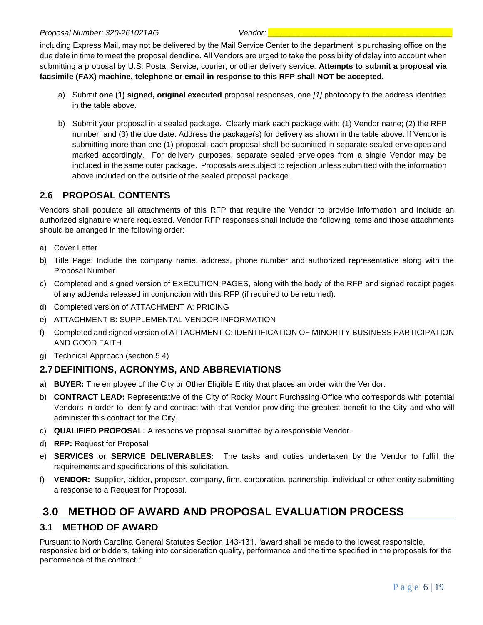including Express Mail, may not be delivered by the Mail Service Center to the department 's purchasing office on the due date in time to meet the proposal deadline. All Vendors are urged to take the possibility of delay into account when submitting a proposal by U.S. Postal Service, courier, or other delivery service. **Attempts to submit a proposal via facsimile (FAX) machine, telephone or email in response to this RFP shall NOT be accepted.** 

- a) Submit **one (1) signed, original executed** proposal responses, one *[1]* photocopy to the address identified in the table above.
- b) Submit your proposal in a sealed package. Clearly mark each package with: (1) Vendor name; (2) the RFP number; and (3) the due date. Address the package(s) for delivery as shown in the table above. If Vendor is submitting more than one (1) proposal, each proposal shall be submitted in separate sealed envelopes and marked accordingly. For delivery purposes, separate sealed envelopes from a single Vendor may be included in the same outer package. Proposals are subject to rejection unless submitted with the information above included on the outside of the sealed proposal package.

# <span id="page-6-0"></span>**2.6 PROPOSAL CONTENTS**

Vendors shall populate all attachments of this RFP that require the Vendor to provide information and include an authorized signature where requested. Vendor RFP responses shall include the following items and those attachments should be arranged in the following order:

- a) Cover Letter
- b) Title Page: Include the company name, address, phone number and authorized representative along with the Proposal Number.
- c) Completed and signed version of EXECUTION PAGES, along with the body of the RFP and signed receipt pages of any addenda released in conjunction with this RFP (if required to be returned).
- d) Completed version of ATTACHMENT A: PRICING
- e) ATTACHMENT B: SUPPLEMENTAL VENDOR INFORMATION
- f) Completed and signed version of ATTACHMENT C: IDENTIFICATION OF MINORITY BUSINESS PARTICIPATION AND GOOD FAITH
- g) Technical Approach (section 5.4)

# <span id="page-6-1"></span>**2.7DEFINITIONS, ACRONYMS, AND ABBREVIATIONS**

- a) **BUYER:** The employee of the City or Other Eligible Entity that places an order with the Vendor.
- b) **CONTRACT LEAD:** Representative of the City of Rocky Mount Purchasing Office who corresponds with potential Vendors in order to identify and contract with that Vendor providing the greatest benefit to the City and who will administer this contract for the City.
- c) **QUALIFIED PROPOSAL:** A responsive proposal submitted by a responsible Vendor.
- d) **RFP:** Request for Proposal
- e) **SERVICES or SERVICE DELIVERABLES:** The tasks and duties undertaken by the Vendor to fulfill the requirements and specifications of this solicitation.
- f) **VENDOR:** Supplier, bidder, proposer, company, firm, corporation, partnership, individual or other entity submitting a response to a Request for Proposal.

# <span id="page-6-2"></span>**3.0 METHOD OF AWARD AND PROPOSAL EVALUATION PROCESS**

# <span id="page-6-3"></span>**3.1 METHOD OF AWARD**

Pursuant to North Carolina General Statutes Section 143-131, "award shall be made to the lowest responsible, responsive bid or bidders, taking into consideration quality, performance and the time specified in the proposals for the performance of the contract."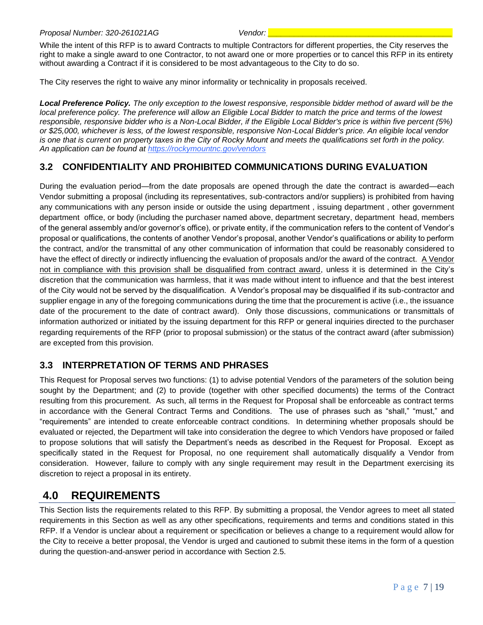While the intent of this RFP is to award Contracts to multiple Contractors for different properties, the City reserves the right to make a single award to one Contractor, to not award one or more properties or to cancel this RFP in its entirety without awarding a Contract if it is considered to be most advantageous to the City to do so.

The City reserves the right to waive any minor informality or technicality in proposals received.

*Local Preference Policy. The only exception to the lowest responsive, responsible bidder method of award will be the local preference policy. The preference will allow an Eligible Local Bidder to match the price and terms of the lowest responsible, responsive bidder who is a Non-Local Bidder, if the Eligible Local Bidder's price is within five percent (5%) or \$25,000, whichever is less, of the lowest responsible, responsive Non-Local Bidder's price. An eligible local vendor is one that is current on property taxes in the City of Rocky Mount and meets the qualifications set forth in the policy. An application can be found at https://rockymountnc.gov/vendors*

# <span id="page-7-0"></span>**3.2 CONFIDENTIALITY AND PROHIBITED COMMUNICATIONS DURING EVALUATION**

During the evaluation period—from the date proposals are opened through the date the contract is awarded—each Vendor submitting a proposal (including its representatives, sub-contractors and/or suppliers) is prohibited from having any communications with any person inside or outside the using department , issuing department , other government department office, or body (including the purchaser named above, department secretary, department head, members of the general assembly and/or governor's office), or private entity, if the communication refers to the content of Vendor's proposal or qualifications, the contents of another Vendor's proposal, another Vendor's qualifications or ability to perform the contract, and/or the transmittal of any other communication of information that could be reasonably considered to have the effect of directly or indirectly influencing the evaluation of proposals and/or the award of the contract. A Vendor not in compliance with this provision shall be disqualified from contract award, unless it is determined in the City's discretion that the communication was harmless, that it was made without intent to influence and that the best interest of the City would not be served by the disqualification. A Vendor's proposal may be disqualified if its sub-contractor and supplier engage in any of the foregoing communications during the time that the procurement is active (i.e., the issuance date of the procurement to the date of contract award). Only those discussions, communications or transmittals of information authorized or initiated by the issuing department for this RFP or general inquiries directed to the purchaser regarding requirements of the RFP (prior to proposal submission) or the status of the contract award (after submission) are excepted from this provision.

# <span id="page-7-1"></span>**3.3 INTERPRETATION OF TERMS AND PHRASES**

This Request for Proposal serves two functions: (1) to advise potential Vendors of the parameters of the solution being sought by the Department; and (2) to provide (together with other specified documents) the terms of the Contract resulting from this procurement. As such, all terms in the Request for Proposal shall be enforceable as contract terms in accordance with the General Contract Terms and Conditions. The use of phrases such as "shall," "must," and "requirements" are intended to create enforceable contract conditions. In determining whether proposals should be evaluated or rejected, the Department will take into consideration the degree to which Vendors have proposed or failed to propose solutions that will satisfy the Department's needs as described in the Request for Proposal. Except as specifically stated in the Request for Proposal, no one requirement shall automatically disqualify a Vendor from consideration. However, failure to comply with any single requirement may result in the Department exercising its discretion to reject a proposal in its entirety.

# <span id="page-7-2"></span>**4.0 REQUIREMENTS**

This Section lists the requirements related to this RFP. By submitting a proposal, the Vendor agrees to meet all stated requirements in this Section as well as any other specifications, requirements and terms and conditions stated in this RFP. If a Vendor is unclear about a requirement or specification or believes a change to a requirement would allow for the City to receive a better proposal, the Vendor is urged and cautioned to submit these items in the form of a question during the question-and-answer period in accordance with Section 2.5.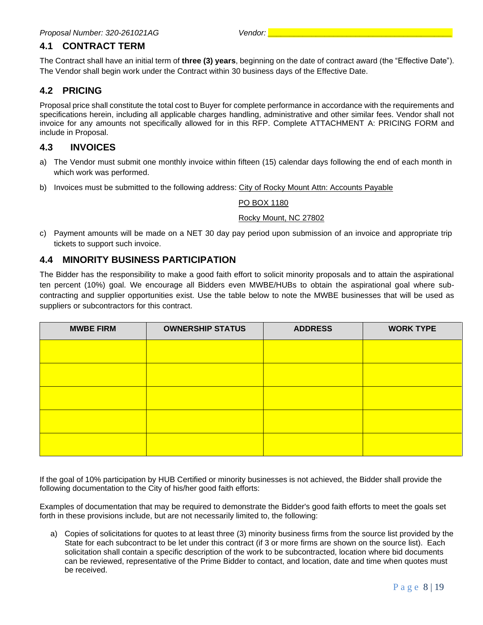# <span id="page-8-0"></span>**4.1 CONTRACT TERM**

The Contract shall have an initial term of **three (3) years**, beginning on the date of contract award (the "Effective Date"). The Vendor shall begin work under the Contract within 30 business days of the Effective Date.

# <span id="page-8-1"></span>**4.2 PRICING**

Proposal price shall constitute the total cost to Buyer for complete performance in accordance with the requirements and specifications herein, including all applicable charges handling, administrative and other similar fees. Vendor shall not invoice for any amounts not specifically allowed for in this RFP. Complete ATTACHMENT A: PRICING FORM and include in Proposal.

#### <span id="page-8-2"></span>**4.3 INVOICES**

- a) The Vendor must submit one monthly invoice within fifteen (15) calendar days following the end of each month in which work was performed.
- b) Invoices must be submitted to the following address: City of Rocky Mount Attn: Accounts Payable

#### PO BOX 1180

#### Rocky Mount, NC 27802

c) Payment amounts will be made on a NET 30 day pay period upon submission of an invoice and appropriate trip tickets to support such invoice.

### **4.4 MINORITY BUSINESS PARTICIPATION**

The Bidder has the responsibility to make a good faith effort to solicit minority proposals and to attain the aspirational ten percent (10%) goal. We encourage all Bidders even MWBE/HUBs to obtain the aspirational goal where subcontracting and supplier opportunities exist. Use the table below to note the MWBE businesses that will be used as suppliers or subcontractors for this contract.

| <b>MWBE FIRM</b> | <b>OWNERSHIP STATUS</b> | <b>ADDRESS</b> | <b>WORK TYPE</b> |
|------------------|-------------------------|----------------|------------------|
|                  |                         |                |                  |
|                  |                         |                |                  |
|                  |                         |                |                  |
|                  |                         |                |                  |
|                  |                         |                |                  |

If the goal of 10% participation by HUB Certified or minority businesses is not achieved, the Bidder shall provide the following documentation to the City of his/her good faith efforts:

Examples of documentation that may be required to demonstrate the Bidder's good faith efforts to meet the goals set forth in these provisions include, but are not necessarily limited to, the following:

a) Copies of solicitations for quotes to at least three (3) minority business firms from the source list provided by the State for each subcontract to be let under this contract (if 3 or more firms are shown on the source list). Each solicitation shall contain a specific description of the work to be subcontracted, location where bid documents can be reviewed, representative of the Prime Bidder to contact, and location, date and time when quotes must be received.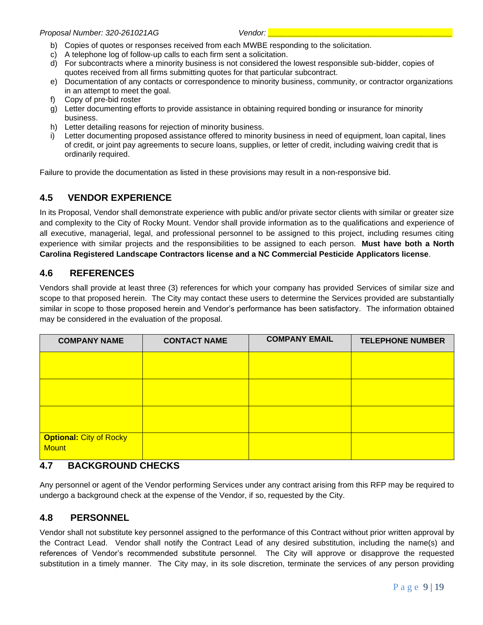- b) Copies of quotes or responses received from each MWBE responding to the solicitation.
- c) A telephone log of follow-up calls to each firm sent a solicitation.
- d) For subcontracts where a minority business is not considered the lowest responsible sub-bidder, copies of quotes received from all firms submitting quotes for that particular subcontract.
- e) Documentation of any contacts or correspondence to minority business, community, or contractor organizations in an attempt to meet the goal.
- f) Copy of pre-bid roster
- g) Letter documenting efforts to provide assistance in obtaining required bonding or insurance for minority business.
- h) Letter detailing reasons for rejection of minority business.
- i) Letter documenting proposed assistance offered to minority business in need of equipment, loan capital, lines of credit, or joint pay agreements to secure loans, supplies, or letter of credit, including waiving credit that is ordinarily required.

Failure to provide the documentation as listed in these provisions may result in a non-responsive bid.

# <span id="page-9-0"></span>**4.5 VENDOR EXPERIENCE**

In its Proposal, Vendor shall demonstrate experience with public and/or private sector clients with similar or greater size and complexity to the City of Rocky Mount. Vendor shall provide information as to the qualifications and experience of all executive, managerial, legal, and professional personnel to be assigned to this project, including resumes citing experience with similar projects and the responsibilities to be assigned to each person. **Must have both a North Carolina Registered Landscape Contractors license and a NC Commercial Pesticide Applicators license**.

### <span id="page-9-1"></span>**4.6 REFERENCES**

Vendors shall provide at least three (3) references for which your company has provided Services of similar size and scope to that proposed herein. The City may contact these users to determine the Services provided are substantially similar in scope to those proposed herein and Vendor's performance has been satisfactory. The information obtained may be considered in the evaluation of the proposal.

| <b>COMPANY NAME</b>                            | <b>CONTACT NAME</b> | <b>COMPANY EMAIL</b> | <b>TELEPHONE NUMBER</b> |
|------------------------------------------------|---------------------|----------------------|-------------------------|
|                                                |                     |                      |                         |
|                                                |                     |                      |                         |
|                                                |                     |                      |                         |
| <b>Optional: City of Rocky</b><br><b>Mount</b> |                     |                      |                         |

#### <span id="page-9-2"></span>**4.7 BACKGROUND CHECKS**

Any personnel or agent of the Vendor performing Services under any contract arising from this RFP may be required to undergo a background check at the expense of the Vendor, if so, requested by the City.

#### <span id="page-9-3"></span>**4.8 PERSONNEL**

Vendor shall not substitute key personnel assigned to the performance of this Contract without prior written approval by the Contract Lead. Vendor shall notify the Contract Lead of any desired substitution, including the name(s) and references of Vendor's recommended substitute personnel. The City will approve or disapprove the requested substitution in a timely manner. The City may, in its sole discretion, terminate the services of any person providing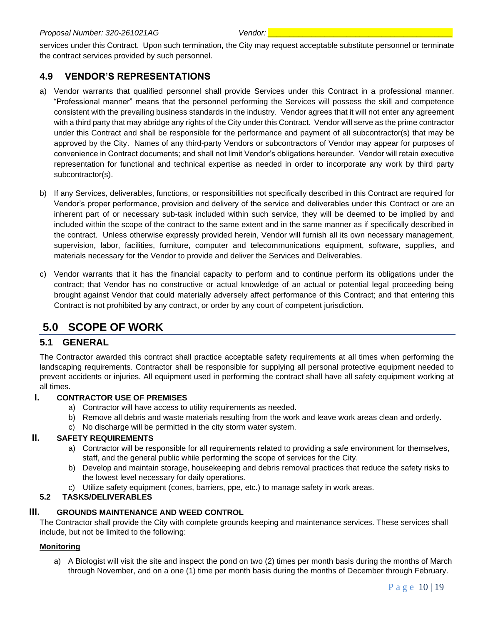#### *Proposal Number: 320-261021AG Vendor: \_\_\_\_\_\_\_\_\_\_\_\_\_\_\_\_\_\_\_\_\_\_\_\_\_\_\_\_\_\_\_\_\_\_\_\_\_\_\_\_\_\_*

services under this Contract. Upon such termination, the City may request acceptable substitute personnel or terminate the contract services provided by such personnel.

# <span id="page-10-0"></span>**4.9 VENDOR'S REPRESENTATIONS**

- a) Vendor warrants that qualified personnel shall provide Services under this Contract in a professional manner. "Professional manner" means that the personnel performing the Services will possess the skill and competence consistent with the prevailing business standards in the industry. Vendor agrees that it will not enter any agreement with a third party that may abridge any rights of the City under this Contract. Vendor will serve as the prime contractor under this Contract and shall be responsible for the performance and payment of all subcontractor(s) that may be approved by the City. Names of any third-party Vendors or subcontractors of Vendor may appear for purposes of convenience in Contract documents; and shall not limit Vendor's obligations hereunder. Vendor will retain executive representation for functional and technical expertise as needed in order to incorporate any work by third party subcontractor(s).
- b) If any Services, deliverables, functions, or responsibilities not specifically described in this Contract are required for Vendor's proper performance, provision and delivery of the service and deliverables under this Contract or are an inherent part of or necessary sub-task included within such service, they will be deemed to be implied by and included within the scope of the contract to the same extent and in the same manner as if specifically described in the contract. Unless otherwise expressly provided herein, Vendor will furnish all its own necessary management, supervision, labor, facilities, furniture, computer and telecommunications equipment, software, supplies, and materials necessary for the Vendor to provide and deliver the Services and Deliverables.
- c) Vendor warrants that it has the financial capacity to perform and to continue perform its obligations under the contract; that Vendor has no constructive or actual knowledge of an actual or potential legal proceeding being brought against Vendor that could materially adversely affect performance of this Contract; and that entering this Contract is not prohibited by any contract, or order by any court of competent jurisdiction.

# <span id="page-10-1"></span>**5.0 SCOPE OF WORK**

#### <span id="page-10-2"></span>**5.1 GENERAL**

The Contractor awarded this contract shall practice acceptable safety requirements at all times when performing the landscaping requirements. Contractor shall be responsible for supplying all personal protective equipment needed to prevent accidents or injuries. All equipment used in performing the contract shall have all safety equipment working at all times.

#### **I. CONTRACTOR USE OF PREMISES**

- a) Contractor will have access to utility requirements as needed.
- b) Remove all debris and waste materials resulting from the work and leave work areas clean and orderly.
- c) No discharge will be permitted in the city storm water system.

#### **II. SAFETY REQUIREMENTS**

- a) Contractor will be responsible for all requirements related to providing a safe environment for themselves, staff, and the general public while performing the scope of services for the City.
- b) Develop and maintain storage, housekeeping and debris removal practices that reduce the safety risks to the lowest level necessary for daily operations.
- c) Utilize safety equipment (cones, barriers, ppe, etc.) to manage safety in work areas.

#### **5.2 TASKS/DELIVERABLES**

#### **III. GROUNDS MAINTENANCE AND WEED CONTROL**

The Contractor shall provide the City with complete grounds keeping and maintenance services. These services shall include, but not be limited to the following:

#### **Monitoring**

a) A Biologist will visit the site and inspect the pond on two (2) times per month basis during the months of March through November, and on a one (1) time per month basis during the months of December through February.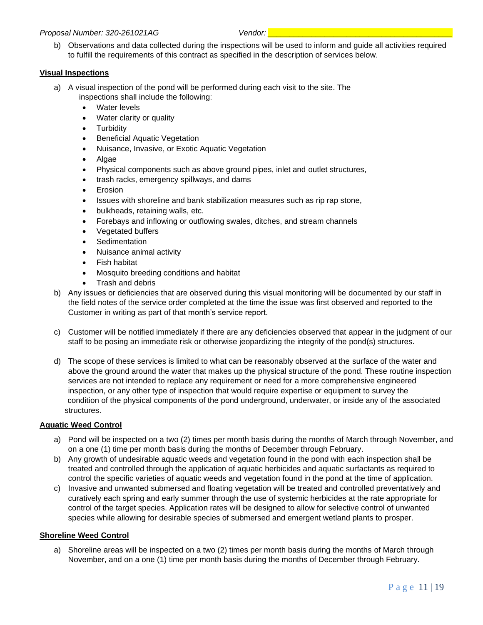#### *Proposal Number: 320-261021AG Vendor: \_\_\_\_\_\_\_\_\_\_\_\_\_\_\_\_\_\_\_\_\_\_\_\_\_\_\_\_\_\_\_\_\_\_\_\_\_\_\_\_\_\_*

b) Observations and data collected during the inspections will be used to inform and guide all activities required to fulfill the requirements of this contract as specified in the description of services below.

#### **Visual Inspections**

- a) A visual inspection of the pond will be performed during each visit to the site. The inspections shall include the following:
	- Water levels
	- Water clarity or quality
	- Turbidity
	- **Beneficial Aquatic Vegetation**
	- Nuisance, Invasive, or Exotic Aquatic Vegetation
	- Algae
	- Physical components such as above ground pipes, inlet and outlet structures,
	- trash racks, emergency spillways, and dams
	- **Erosion**
	- Issues with shoreline and bank stabilization measures such as rip rap stone,
	- bulkheads, retaining walls, etc.
	- Forebays and inflowing or outflowing swales, ditches, and stream channels
	- Vegetated buffers
	- **Sedimentation**
	- Nuisance animal activity
	- Fish habitat
	- Mosquito breeding conditions and habitat
	- Trash and debris
- b) Any issues or deficiencies that are observed during this visual monitoring will be documented by our staff in the field notes of the service order completed at the time the issue was first observed and reported to the Customer in writing as part of that month's service report.
- c) Customer will be notified immediately if there are any deficiencies observed that appear in the judgment of our staff to be posing an immediate risk or otherwise jeopardizing the integrity of the pond(s) structures.
- d) The scope of these services is limited to what can be reasonably observed at the surface of the water and above the ground around the water that makes up the physical structure of the pond. These routine inspection services are not intended to replace any requirement or need for a more comprehensive engineered inspection, or any other type of inspection that would require expertise or equipment to survey the condition of the physical components of the pond underground, underwater, or inside any of the associated structures.

#### **Aquatic Weed Control**

- a) Pond will be inspected on a two (2) times per month basis during the months of March through November, and on a one (1) time per month basis during the months of December through February.
- b) Any growth of undesirable aquatic weeds and vegetation found in the pond with each inspection shall be treated and controlled through the application of aquatic herbicides and aquatic surfactants as required to control the specific varieties of aquatic weeds and vegetation found in the pond at the time of application.
- c) Invasive and unwanted submersed and floating vegetation will be treated and controlled preventatively and curatively each spring and early summer through the use of systemic herbicides at the rate appropriate for control of the target species. Application rates will be designed to allow for selective control of unwanted species while allowing for desirable species of submersed and emergent wetland plants to prosper.

#### **Shoreline Weed Control**

a) Shoreline areas will be inspected on a two (2) times per month basis during the months of March through November, and on a one (1) time per month basis during the months of December through February.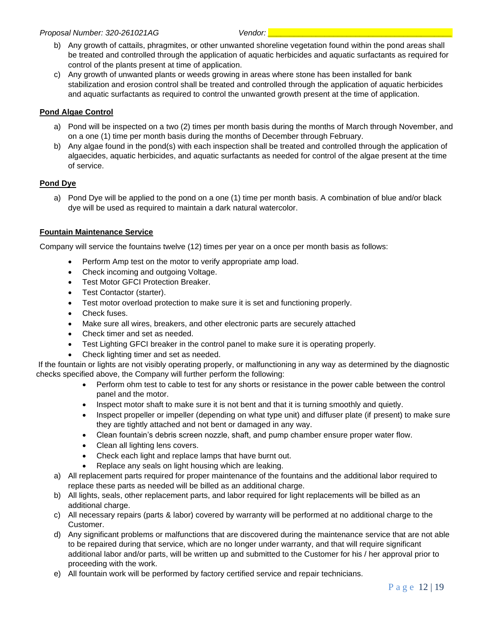- b) Any growth of cattails, phragmites, or other unwanted shoreline vegetation found within the pond areas shall be treated and controlled through the application of aquatic herbicides and aquatic surfactants as required for control of the plants present at time of application.
- c) Any growth of unwanted plants or weeds growing in areas where stone has been installed for bank stabilization and erosion control shall be treated and controlled through the application of aquatic herbicides and aquatic surfactants as required to control the unwanted growth present at the time of application.

#### **Pond Algae Control**

- a) Pond will be inspected on a two (2) times per month basis during the months of March through November, and on a one (1) time per month basis during the months of December through February.
- b) Any algae found in the pond(s) with each inspection shall be treated and controlled through the application of algaecides, aquatic herbicides, and aquatic surfactants as needed for control of the algae present at the time of service.

#### **Pond Dye**

a) Pond Dye will be applied to the pond on a one (1) time per month basis. A combination of blue and/or black dye will be used as required to maintain a dark natural watercolor.

#### **Fountain Maintenance Service**

Company will service the fountains twelve (12) times per year on a once per month basis as follows:

- Perform Amp test on the motor to verify appropriate amp load.
- Check incoming and outgoing Voltage.
- Test Motor GFCI Protection Breaker.
- Test Contactor (starter).
- Test motor overload protection to make sure it is set and functioning properly.
- Check fuses.
- Make sure all wires, breakers, and other electronic parts are securely attached
- Check timer and set as needed.
- Test Lighting GFCI breaker in the control panel to make sure it is operating properly.
- Check lighting timer and set as needed.

If the fountain or lights are not visibly operating properly, or malfunctioning in any way as determined by the diagnostic checks specified above, the Company will further perform the following:

- Perform ohm test to cable to test for any shorts or resistance in the power cable between the control panel and the motor.
- Inspect motor shaft to make sure it is not bent and that it is turning smoothly and quietly.
- Inspect propeller or impeller (depending on what type unit) and diffuser plate (if present) to make sure they are tightly attached and not bent or damaged in any way.
- Clean fountain's debris screen nozzle, shaft, and pump chamber ensure proper water flow.
- Clean all lighting lens covers.
- Check each light and replace lamps that have burnt out.
	- Replace any seals on light housing which are leaking.
- a) All replacement parts required for proper maintenance of the fountains and the additional labor required to replace these parts as needed will be billed as an additional charge.
- b) All lights, seals, other replacement parts, and labor required for light replacements will be billed as an additional charge.
- c) All necessary repairs (parts & labor) covered by warranty will be performed at no additional charge to the Customer.
- d) Any significant problems or malfunctions that are discovered during the maintenance service that are not able to be repaired during that service, which are no longer under warranty, and that will require significant additional labor and/or parts, will be written up and submitted to the Customer for his / her approval prior to proceeding with the work.
- e) All fountain work will be performed by factory certified service and repair technicians.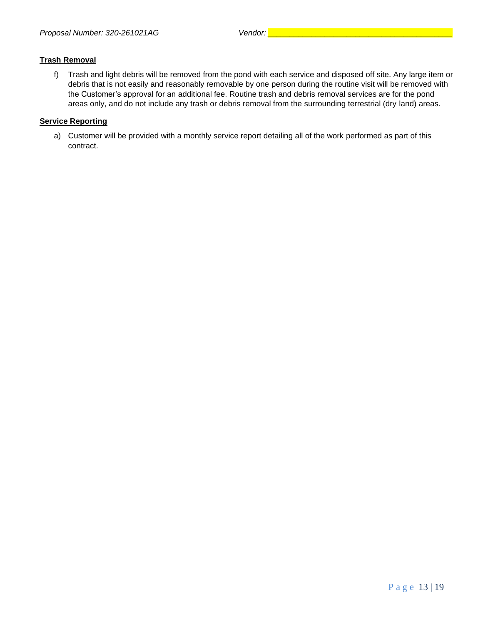#### **Trash Removal**

f) Trash and light debris will be removed from the pond with each service and disposed off site. Any large item or debris that is not easily and reasonably removable by one person during the routine visit will be removed with the Customer's approval for an additional fee. Routine trash and debris removal services are for the pond areas only, and do not include any trash or debris removal from the surrounding terrestrial (dry land) areas.

#### **Service Reporting**

a) Customer will be provided with a monthly service report detailing all of the work performed as part of this contract.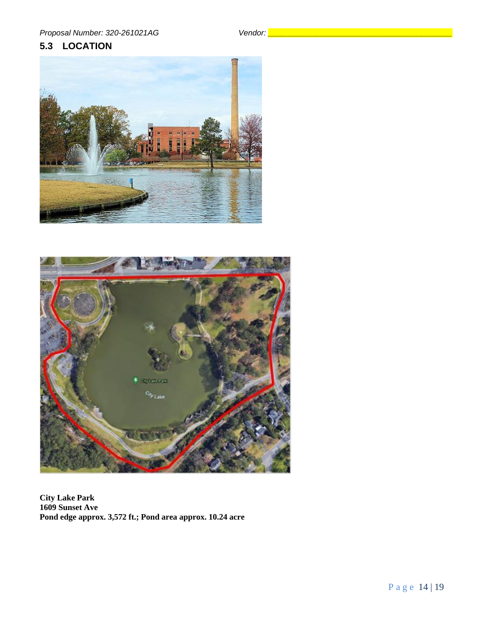# <span id="page-14-0"></span>**5.3 LOCATION**





**City Lake Park 1609 Sunset Ave Pond edge approx. 3,572 ft.; Pond area approx. 10.24 acre**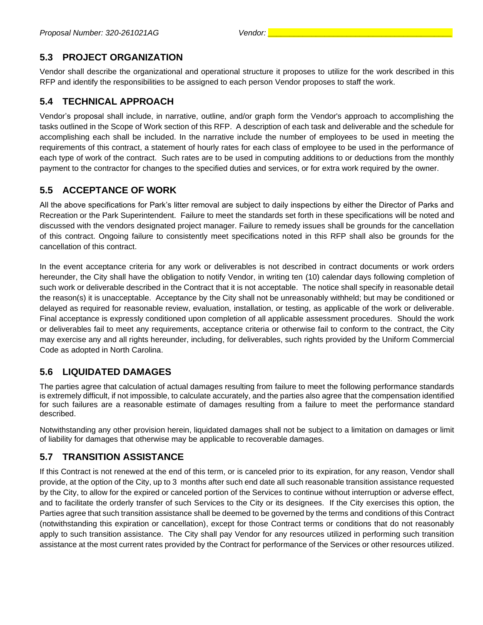# <span id="page-15-0"></span>**5.3 PROJECT ORGANIZATION**

Vendor shall describe the organizational and operational structure it proposes to utilize for the work described in this RFP and identify the responsibilities to be assigned to each person Vendor proposes to staff the work.

# <span id="page-15-1"></span>**5.4 TECHNICAL APPROACH**

Vendor's proposal shall include, in narrative, outline, and/or graph form the Vendor's approach to accomplishing the tasks outlined in the Scope of Work section of this RFP. A description of each task and deliverable and the schedule for accomplishing each shall be included. In the narrative include the number of employees to be used in meeting the requirements of this contract, a statement of hourly rates for each class of employee to be used in the performance of each type of work of the contract. Such rates are to be used in computing additions to or deductions from the monthly payment to the contractor for changes to the specified duties and services, or for extra work required by the owner.

# <span id="page-15-2"></span>**5.5 ACCEPTANCE OF WORK**

All the above specifications for Park's litter removal are subject to daily inspections by either the Director of Parks and Recreation or the Park Superintendent. Failure to meet the standards set forth in these specifications will be noted and discussed with the vendors designated project manager. Failure to remedy issues shall be grounds for the cancellation of this contract. Ongoing failure to consistently meet specifications noted in this RFP shall also be grounds for the cancellation of this contract.

In the event acceptance criteria for any work or deliverables is not described in contract documents or work orders hereunder, the City shall have the obligation to notify Vendor, in writing ten (10) calendar days following completion of such work or deliverable described in the Contract that it is not acceptable. The notice shall specify in reasonable detail the reason(s) it is unacceptable. Acceptance by the City shall not be unreasonably withheld; but may be conditioned or delayed as required for reasonable review, evaluation, installation, or testing, as applicable of the work or deliverable. Final acceptance is expressly conditioned upon completion of all applicable assessment procedures. Should the work or deliverables fail to meet any requirements, acceptance criteria or otherwise fail to conform to the contract, the City may exercise any and all rights hereunder, including, for deliverables, such rights provided by the Uniform Commercial Code as adopted in North Carolina.

# <span id="page-15-3"></span>**5.6 LIQUIDATED DAMAGES**

The parties agree that calculation of actual damages resulting from failure to meet the following performance standards is extremely difficult, if not impossible, to calculate accurately, and the parties also agree that the compensation identified for such failures are a reasonable estimate of damages resulting from a failure to meet the performance standard described.

Notwithstanding any other provision herein, liquidated damages shall not be subject to a limitation on damages or limit of liability for damages that otherwise may be applicable to recoverable damages.

# <span id="page-15-4"></span>**5.7 TRANSITION ASSISTANCE**

If this Contract is not renewed at the end of this term, or is canceled prior to its expiration, for any reason, Vendor shall provide, at the option of the City, up to 3 months after such end date all such reasonable transition assistance requested by the City, to allow for the expired or canceled portion of the Services to continue without interruption or adverse effect, and to facilitate the orderly transfer of such Services to the City or its designees. If the City exercises this option, the Parties agree that such transition assistance shall be deemed to be governed by the terms and conditions of this Contract (notwithstanding this expiration or cancellation), except for those Contract terms or conditions that do not reasonably apply to such transition assistance. The City shall pay Vendor for any resources utilized in performing such transition assistance at the most current rates provided by the Contract for performance of the Services or other resources utilized.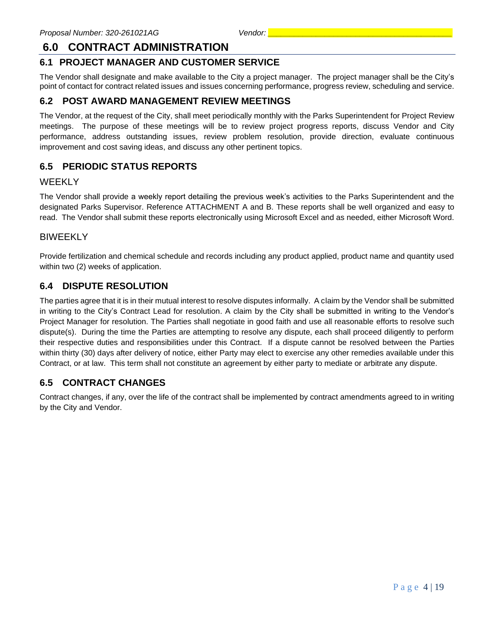# <span id="page-16-0"></span>**6.0 CONTRACT ADMINISTRATION**

# <span id="page-16-1"></span>**6.1 PROJECT MANAGER AND CUSTOMER SERVICE**

The Vendor shall designate and make available to the City a project manager. The project manager shall be the City's point of contact for contract related issues and issues concerning performance, progress review, scheduling and service.

# <span id="page-16-2"></span>**6.2 POST AWARD MANAGEMENT REVIEW MEETINGS**

The Vendor, at the request of the City, shall meet periodically monthly with the Parks Superintendent for Project Review meetings. The purpose of these meetings will be to review project progress reports, discuss Vendor and City performance, address outstanding issues, review problem resolution, provide direction, evaluate continuous improvement and cost saving ideas, and discuss any other pertinent topics.

# <span id="page-16-3"></span>**6.5 PERIODIC STATUS REPORTS**

#### WEEKLY

The Vendor shall provide a weekly report detailing the previous week's activities to the Parks Superintendent and the designated Parks Supervisor. Reference ATTACHMENT A and B. These reports shall be well organized and easy to read. The Vendor shall submit these reports electronically using Microsoft Excel and as needed, either Microsoft Word.

### BIWEEKLY

Provide fertilization and chemical schedule and records including any product applied, product name and quantity used within two (2) weeks of application.

# <span id="page-16-4"></span>**6.4 DISPUTE RESOLUTION**

The parties agree that it is in their mutual interest to resolve disputes informally. A claim by the Vendor shall be submitted in writing to the City's Contract Lead for resolution. A claim by the City shall be submitted in writing to the Vendor's Project Manager for resolution. The Parties shall negotiate in good faith and use all reasonable efforts to resolve such dispute(s). During the time the Parties are attempting to resolve any dispute, each shall proceed diligently to perform their respective duties and responsibilities under this Contract. If a dispute cannot be resolved between the Parties within thirty (30) days after delivery of notice, either Party may elect to exercise any other remedies available under this Contract, or at law. This term shall not constitute an agreement by either party to mediate or arbitrate any dispute.

# <span id="page-16-5"></span>**6.5 CONTRACT CHANGES**

Contract changes, if any, over the life of the contract shall be implemented by contract amendments agreed to in writing by the City and Vendor.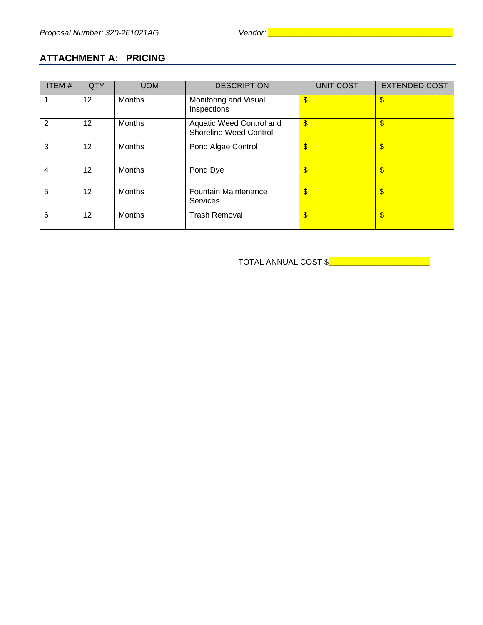# <span id="page-17-0"></span>**ATTACHMENT A: PRICING**

| ITEM $#$ | QTY | <b>UOM</b>    | <b>DESCRIPTION</b>                                        | <b>UNIT COST</b>          | <b>EXTENDED COST</b> |
|----------|-----|---------------|-----------------------------------------------------------|---------------------------|----------------------|
|          | 12  | <b>Months</b> | Monitoring and Visual<br>Inspections                      | $\sqrt[6]{3}$             | \$                   |
| 2        | 12  | Months        | Aquatic Weed Control and<br><b>Shoreline Weed Control</b> | $\mathbf{\$}$             | \$                   |
| 3        | 12  | Months        | Pond Algae Control                                        | $\mathbf{\$}$             | \$                   |
| 4        | 12  | <b>Months</b> | Pond Dye                                                  | $\sqrt[6]{3}$             | \$                   |
| 5        | 12  | <b>Months</b> | Fountain Maintenance<br><b>Services</b>                   | $\mathbf{\$}$             | \$                   |
| 6        | 12  | <b>Months</b> | <b>Trash Removal</b>                                      | $\boldsymbol{\mathsf{S}}$ | \$                   |

TOTAL ANNUAL COST \$<u>\_\_\_\_\_\_\_\_\_\_\_\_\_\_\_\_\_\_\_\_\_</u>\_\_\_